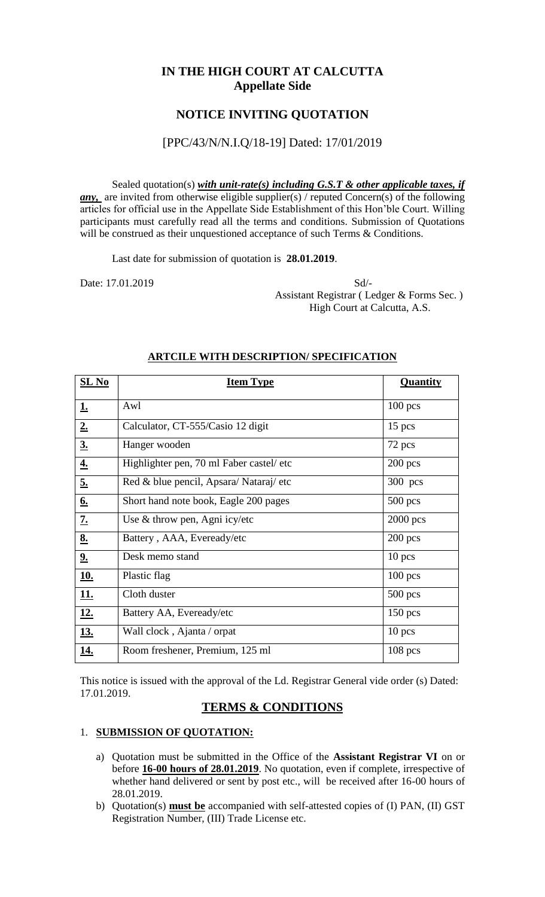### **IN THE HIGH COURT AT CALCUTTA Appellate Side**

### **NOTICE INVITING QUOTATION**

#### [PPC/43/N/N.I.Q/18-19] Dated: 17/01/2019

Sealed quotation(s) *with unit-rate(s) including G.S.T & other applicable taxes, if any*, are invited from otherwise eligible supplier(s) / reputed Concern(s) of the following articles for official use in the Appellate Side Establishment of this Hon'ble Court. Willing participants must carefully read all the terms and conditions. Submission of Quotations will be construed as their unquestioned acceptance of such Terms & Conditions.

Last date for submission of quotation is **28.01.2019**.

Date: 17.01.2019 Sd/- Assistant Registrar ( Ledger & Forms Sec. ) High Court at Calcutta, A.S.

| $SL$ No          | <b>Item Type</b>                         | <b>Quantity</b> |
|------------------|------------------------------------------|-----------------|
| <u>1.</u>        | Awl                                      | $100$ pcs       |
| 2.               | Calculator, CT-555/Casio 12 digit        | $15$ pcs        |
| 3 <sub>1</sub>   | Hanger wooden                            | 72 pcs          |
| $\underline{4.}$ | Highlighter pen, 70 ml Faber castel/ etc | $200$ pcs       |
| <u>5.</u>        | Red & blue pencil, Apsara/Nataraj/etc    | 300 pcs         |
| <u>6.</u>        | Short hand note book, Eagle 200 pages    | $500$ pcs       |
| <u>7.</u>        | Use & throw pen, Agni icy/etc            | $2000$ pcs      |
| <u>8.</u>        | Battery, AAA, Eveready/etc               | $200$ pcs       |
| 2.               | Desk memo stand                          | $10$ pcs        |
| <u>10.</u>       | Plastic flag                             | $100$ pcs       |
| <u>11.</u>       | Cloth duster                             | $500$ pcs       |
| <u>12.</u>       | Battery AA, Eveready/etc                 | $150$ pcs       |
| <u>13.</u>       | Wall clock, Ajanta / orpat               | $10$ pcs        |
| <u>14.</u>       | Room freshener, Premium, 125 ml          | $108$ pcs       |

#### **ARTCILE WITH DESCRIPTION/ SPECIFICATION**

This notice is issued with the approval of the Ld. Registrar General vide order (s) Dated: 17.01.2019.

### **TERMS & CONDITIONS**

#### 1. **SUBMISSION OF QUOTATION:**

- a) Quotation must be submitted in the Office of the **Assistant Registrar VI** on or before **16-00 hours of 28.01.2019**. No quotation, even if complete, irrespective of whether hand delivered or sent by post etc., will be received after 16-00 hours of 28.01.2019.
- b) Quotation(s) **must be** accompanied with self-attested copies of (I) PAN, (II) GST Registration Number, (III) Trade License etc.